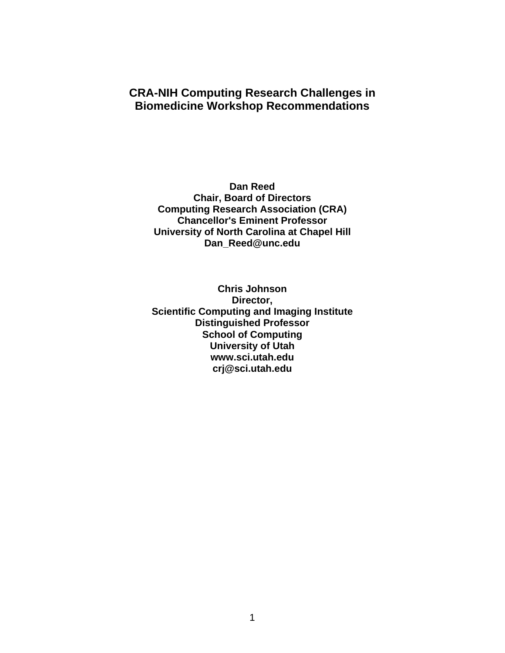# **CRA-NIH Computing Research Challenges in Biomedicine Workshop Recommendations**

**Dan Reed Chair, Board of Directors Computing Research Association (CRA) Chancellor's Eminent Professor University of North Carolina at Chapel Hill Dan\_Reed@unc.edu** 

**Chris Johnson Director, Scientific Computing and Imaging Institute Distinguished Professor School of Computing University of Utah www.sci.utah.edu crj@sci.utah.edu**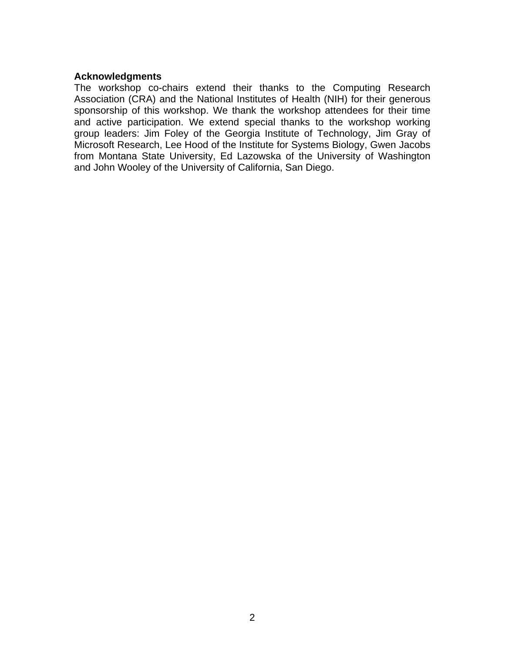### **Acknowledgments**

The workshop co-chairs extend their thanks to the Computing Research Association (CRA) and the National Institutes of Health (NIH) for their generous sponsorship of this workshop. We thank the workshop attendees for their time and active participation. We extend special thanks to the workshop working group leaders: Jim Foley of the Georgia Institute of Technology, Jim Gray of Microsoft Research, Lee Hood of the Institute for Systems Biology, Gwen Jacobs from Montana State University, Ed Lazowska of the University of Washington and John Wooley of the University of California, San Diego.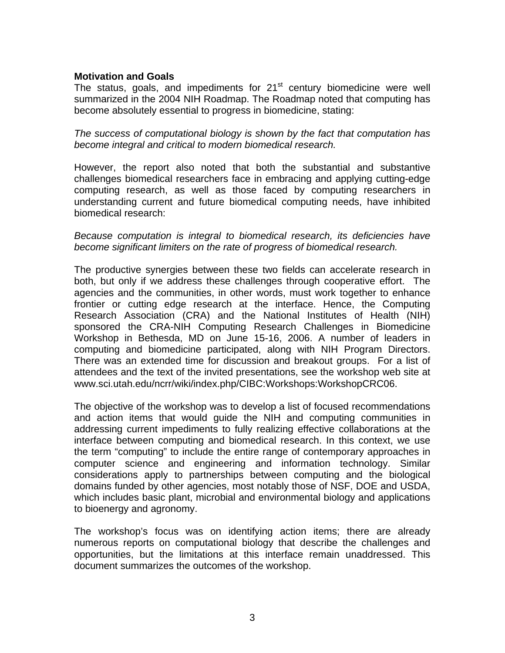## **Motivation and Goals**

The status, goals, and impediments for  $21<sup>st</sup>$  century biomedicine were well summarized in the 2004 NIH Roadmap. The Roadmap noted that computing has become absolutely essential to progress in biomedicine, stating:

*The success of computational biology is shown by the fact that computation has become integral and critical to modern biomedical research.* 

However, the report also noted that both the substantial and substantive challenges biomedical researchers face in embracing and applying cutting-edge computing research, as well as those faced by computing researchers in understanding current and future biomedical computing needs, have inhibited biomedical research:

### *Because computation is integral to biomedical research, its deficiencies have become significant limiters on the rate of progress of biomedical research.*

The productive synergies between these two fields can accelerate research in both, but only if we address these challenges through cooperative effort. The agencies and the communities, in other words, must work together to enhance frontier or cutting edge research at the interface. Hence, the Computing Research Association (CRA) and the National Institutes of Health (NIH) sponsored the CRA-NIH Computing Research Challenges in Biomedicine Workshop in Bethesda, MD on June 15-16, 2006. A number of leaders in computing and biomedicine participated, along with NIH Program Directors. There was an extended time for discussion and breakout groups. For a list of attendees and the text of the invited presentations, see the workshop web site at www.sci.utah.edu/ncrr/wiki/index.php/CIBC:Workshops:WorkshopCRC06.

The objective of the workshop was to develop a list of focused recommendations and action items that would guide the NIH and computing communities in addressing current impediments to fully realizing effective collaborations at the interface between computing and biomedical research. In this context, we use the term "computing" to include the entire range of contemporary approaches in computer science and engineering and information technology. Similar considerations apply to partnerships between computing and the biological domains funded by other agencies, most notably those of NSF, DOE and USDA, which includes basic plant, microbial and environmental biology and applications to bioenergy and agronomy.

The workshop's focus was on identifying action items; there are already numerous reports on computational biology that describe the challenges and opportunities, but the limitations at this interface remain unaddressed. This document summarizes the outcomes of the workshop.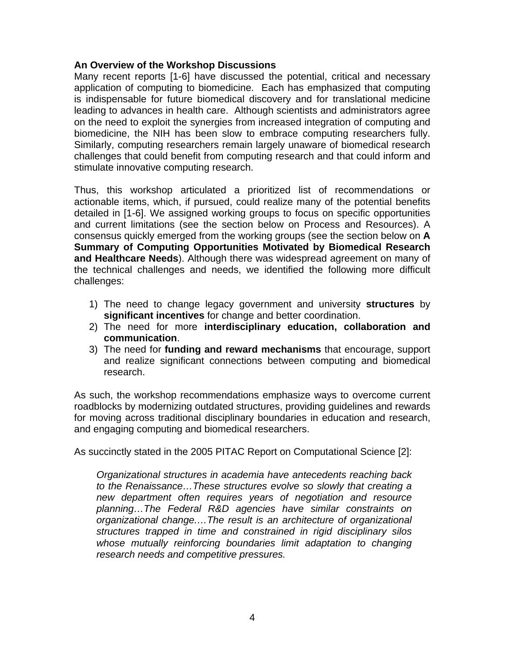# **An Overview of the Workshop Discussions**

Many recent reports [1-6] have discussed the potential, critical and necessary application of computing to biomedicine. Each has emphasized that computing is indispensable for future biomedical discovery and for translational medicine leading to advances in health care. Although scientists and administrators agree on the need to exploit the synergies from increased integration of computing and biomedicine, the NIH has been slow to embrace computing researchers fully. Similarly, computing researchers remain largely unaware of biomedical research challenges that could benefit from computing research and that could inform and stimulate innovative computing research.

Thus, this workshop articulated a prioritized list of recommendations or actionable items, which, if pursued, could realize many of the potential benefits detailed in [1-6]. We assigned working groups to focus on specific opportunities and current limitations (see the section below on Process and Resources). A consensus quickly emerged from the working groups (see the section below on **A Summary of Computing Opportunities Motivated by Biomedical Research and Healthcare Needs**). Although there was widespread agreement on many of the technical challenges and needs, we identified the following more difficult challenges:

- 1) The need to change legacy government and university **structures** by **significant incentives** for change and better coordination.
- 2) The need for more **interdisciplinary education, collaboration and communication**.
- 3) The need for **funding and reward mechanisms** that encourage, support and realize significant connections between computing and biomedical research.

As such, the workshop recommendations emphasize ways to overcome current roadblocks by modernizing outdated structures, providing guidelines and rewards for moving across traditional disciplinary boundaries in education and research, and engaging computing and biomedical researchers.

As succinctly stated in the 2005 PITAC Report on Computational Science [2]:

*Organizational structures in academia have antecedents reaching back to the Renaissance…These structures evolve so slowly that creating a new department often requires years of negotiation and resource planning…The Federal R&D agencies have similar constraints on organizational change.…The result is an architecture of organizational structures trapped in time and constrained in rigid disciplinary silos whose mutually reinforcing boundaries limit adaptation to changing research needs and competitive pressures.*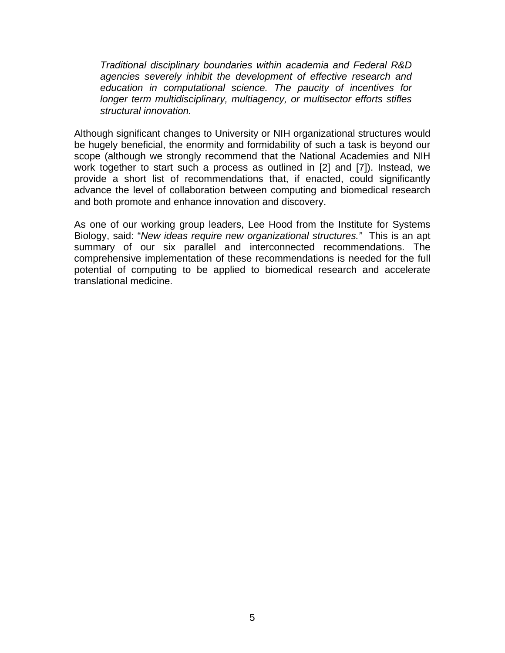*Traditional disciplinary boundaries within academia and Federal R&D agencies severely inhibit the development of effective research and education in computational science. The paucity of incentives for longer term multidisciplinary, multiagency, or multisector efforts stifles structural innovation.* 

Although significant changes to University or NIH organizational structures would be hugely beneficial, the enormity and formidability of such a task is beyond our scope (although we strongly recommend that the National Academies and NIH work together to start such a process as outlined in [2] and [7]). Instead, we provide a short list of recommendations that, if enacted, could significantly advance the level of collaboration between computing and biomedical research and both promote and enhance innovation and discovery.

As one of our working group leaders, Lee Hood from the Institute for Systems Biology, said: "*New ideas require new organizational structures."* This is an apt summary of our six parallel and interconnected recommendations. The comprehensive implementation of these recommendations is needed for the full potential of computing to be applied to biomedical research and accelerate translational medicine.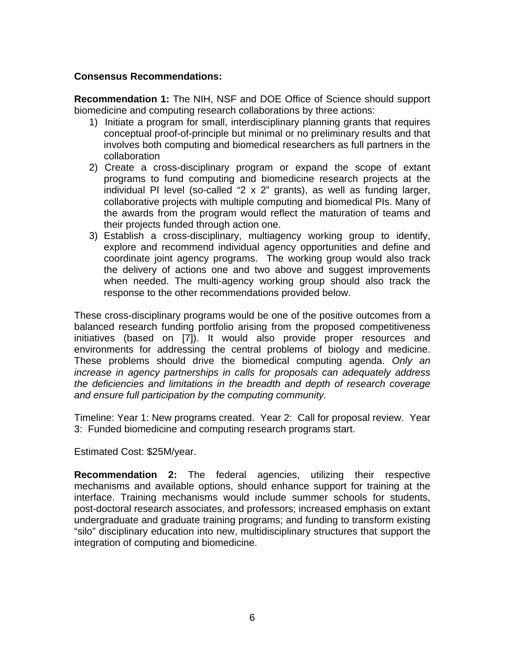# **Consensus Recommendations:**

**Recommendation 1:** The NIH, NSF and DOE Office of Science should support biomedicine and computing research collaborations by three actions:

- 1) Initiate a program for small, interdisciplinary planning grants that requires conceptual proof-of-principle but minimal or no preliminary results and that involves both computing and biomedical researchers as full partners in the collaboration
- 2) Create a cross-disciplinary program or expand the scope of extant programs to fund computing and biomedicine research projects at the individual PI level (so-called "2 x 2" grants), as well as funding larger, collaborative projects with multiple computing and biomedical PIs. Many of the awards from the program would reflect the maturation of teams and their projects funded through action one.
- 3) Establish a cross-disciplinary, multiagency working group to identify, explore and recommend individual agency opportunities and define and coordinate joint agency programs. The working group would also track the delivery of actions one and two above and suggest improvements when needed. The multi-agency working group should also track the response to the other recommendations provided below.

environments for addressing the central problems of biology and medicine. These cross-disciplinary programs would be one of the positive outcomes from a balanced research funding portfolio arising from the proposed competitiveness initiatives (based on [7]). It would also provide proper resources and These problems should drive the biomedical computing agenda. Only an *increase in agency partnerships in calls for proposals can adequately address the deficiencies and limitations in the breadth and depth of research coverage and ensure full participation by the computing community.* 

Timeline: Year 1: New programs created. Year 2: Call for proposal review. Year 3: Funded biomedicine and computing research programs start.

Estimated Cost: \$25M/year.

**Recommendation 2:** The federal agencies, utilizing their respective mechanisms and available options, should enhance support for training at the interface. Training mechanisms would include summer schools for students, post-doctoral research associates, and professors; increased emphasis on extant undergraduate and graduate training programs; and funding to transform existing "silo" disciplinary education into new, multidisciplinary structures that support the integration of computing and biomedicine.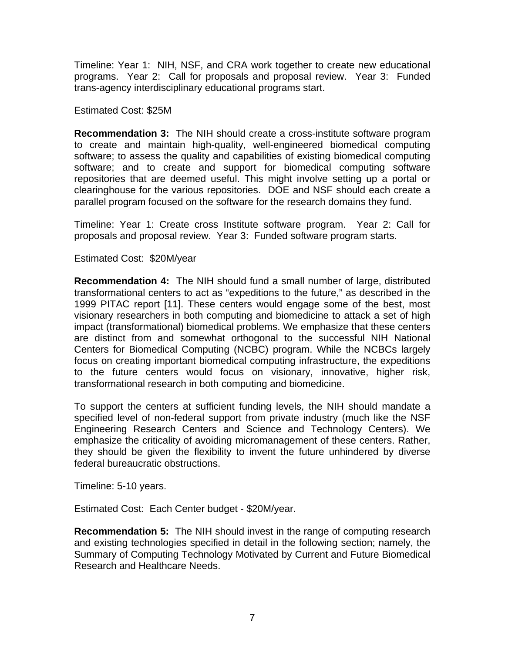Timeline: Year 1: NIH, NSF, and CRA work together to create new educational programs. Year 2: Call for proposals and proposal review. Year 3: Funded trans-agency interdisciplinary educational programs start.

Estimated Cost: \$25M

**Recommendation 3:** The NIH should create a cross-institute software program to create and maintain high-quality, well-engineered biomedical computing software; to assess the quality and capabilities of existing biomedical computing software; and to create and support for biomedical computing software repositories that are deemed useful. This might involve setting up a portal or clearinghouse for the various repositories. DOE and NSF should each create a parallel program focused on the software for the research domains they fund.

Timeline: Year 1: Create cross Institute software program. Year 2: Call for proposals and proposal review. Year 3: Funded software program starts.

Estimated Cost: \$20M/year

**Recommendation 4:** The NIH should fund a small number of large, distributed transformational centers to act as "expeditions to the future," as described in the 1999 PITAC report [11]. These centers would engage some of the best, most visionary researchers in both computing and biomedicine to attack a set of high impact (transformational) biomedical problems. We emphasize that these centers are distinct from and somewhat orthogonal to the successful NIH National Centers for Biomedical Computing (NCBC) program. While the NCBCs largely focus on creating important biomedical computing infrastructure, the expeditions to the future centers would focus on visionary, innovative, higher risk, transformational research in both computing and biomedicine.

To support the centers at sufficient funding levels, the NIH should mandate a specified level of non-federal support from private industry (much like the NSF Engineering Research Centers and Science and Technology Centers). We emphasize the criticality of avoiding micromanagement of these centers. Rather, they should be given the flexibility to invent the future unhindered by diverse federal bureaucratic obstructions.

Timeline: 5-10 years.

Estimated Cost: Each Center budget - \$20M/year.

**Recommendation 5:** The NIH should invest in the range of computing research and existing technologies specified in detail in the following section; namely, the Summary of Computing Technology Motivated by Current and Future Biomedical Research and Healthcare Needs.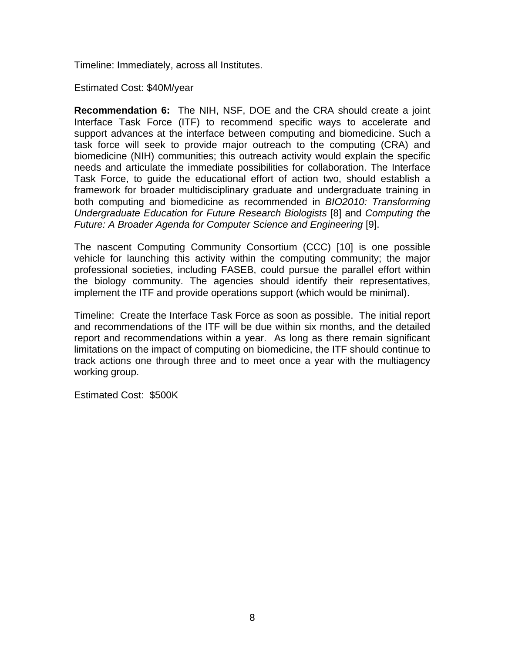Timeline: Immediately, across all Institutes.

Estimated Cost: \$40M/year

**Recommendation 6:** The NIH, NSF, DOE and the CRA should create a joint Interface Task Force (ITF) to recommend specific ways to accelerate and support advances at the interface between computing and biomedicine. Such a task force will seek to provide major outreach to the computing (CRA) and biomedicine (NIH) communities; this outreach activity would explain the specific needs and articulate the immediate possibilities for collaboration. The Interface Task Force, to guide the educational effort of action two, should establish a framework for broader multidisciplinary graduate and undergraduate training in both computing and biomedicine as recommended in *BIO2010: Transforming Undergraduate Education for Future Research Biologists* [8] and *Computing the Future: A Broader Agenda for Computer Science and Engineering* [9].

The nascent Computing Community Consortium (CCC) [10] is one possible vehicle for launching this activity within the computing community; the major professional societies, including FASEB, could pursue the parallel effort within the biology community. The agencies should identify their representatives, implement the ITF and provide operations support (which would be minimal).

Timeline: Create the Interface Task Force as soon as possible. The initial report and recommendations of the ITF will be due within six months, and the detailed report and recommendations within a year. As long as there remain significant limitations on the impact of computing on biomedicine, the ITF should continue to track actions one through three and to meet once a year with the multiagency working group.

Estimated Cost: \$500K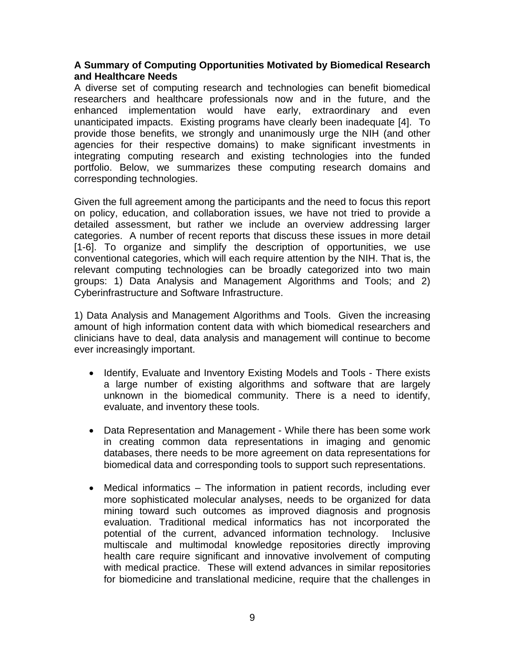# **A Summary of Computing Opportunities Motivated by Biomedical Research and Healthcare Needs**

A diverse set of computing research and technologies can benefit biomedical researchers and healthcare professionals now and in the future, and the enhanced implementation would have early, extraordinary and even unanticipated impacts. Existing programs have clearly been inadequate [4]. To provide those benefits, we strongly and unanimously urge the NIH (and other agencies for their respective domains) to make significant investments in integrating computing research and existing technologies into the funded portfolio. Below, we summarizes these computing research domains and corresponding technologies.

Given the full agreement among the participants and the need to focus this report on policy, education, and collaboration issues, we have not tried to provide a detailed assessment, but rather we include an overview addressing larger categories. A number of recent reports that discuss these issues in more detail [1-6]. To organize and simplify the description of opportunities, we use conventional categories, which will each require attention by the NIH. That is, the relevant computing technologies can be broadly categorized into two main groups: 1) Data Analysis and Management Algorithms and Tools; and 2) Cyberinfrastructure and Software Infrastructure.

1) Data Analysis and Management Algorithms and Tools. Given the increasing amount of high information content data with which biomedical researchers and clinicians have to deal, data analysis and management will continue to become ever increasingly important.

- Identify, Evaluate and Inventory Existing Models and Tools There exists a large number of existing algorithms and software that are largely unknown in the biomedical community. There is a need to identify, evaluate, and inventory these tools.
- Data Representation and Management While there has been some work in creating common data representations in imaging and genomic databases, there needs to be more agreement on data representations for biomedical data and corresponding tools to support such representations.
- Medical informatics The information in patient records, including ever more sophisticated molecular analyses, needs to be organized for data mining toward such outcomes as improved diagnosis and prognosis evaluation. Traditional medical informatics has not incorporated the potential of the current, advanced information technology. Inclusive multiscale and multimodal knowledge repositories directly improving health care require significant and innovative involvement of computing with medical practice. These will extend advances in similar repositories for biomedicine and translational medicine, require that the challenges in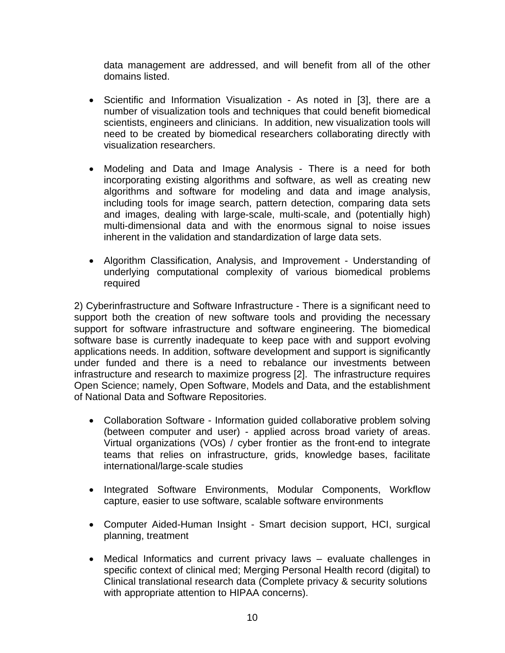data management are addressed, and will benefit from all of the other domains listed.

- Scientific and Information Visualization As noted in [3], there are a number of visualization tools and techniques that could benefit biomedical scientists, engineers and clinicians. In addition, new visualization tools will need to be created by biomedical researchers collaborating directly with visualization researchers.
- Modeling and Data and Image Analysis There is a need for both incorporating existing algorithms and software, as well as creating new algorithms and software for modeling and data and image analysis, including tools for image search, pattern detection, comparing data sets and images, dealing with large-scale, multi-scale, and (potentially high) multi-dimensional data and with the enormous signal to noise issues inherent in the validation and standardization of large data sets.
- Algorithm Classification, Analysis, and Improvement Understanding of underlying computational complexity of various biomedical problems required

2) Cyberinfrastructure and Software Infrastructure - There is a significant need to support both the creation of new software tools and providing the necessary support for software infrastructure and software engineering. The biomedical software base is currently inadequate to keep pace with and support evolving applications needs. In addition, software development and support is significantly under funded and there is a need to rebalance our investments between infrastructure and research to maximize progress [2]. The infrastructure requires Open Science; namely, Open Software, Models and Data, and the establishment of National Data and Software Repositories.

- Collaboration Software Information guided collaborative problem solving (between computer and user) - applied across broad variety of areas. Virtual organizations (VOs) / cyber frontier as the front-end to integrate teams that relies on infrastructure, grids, knowledge bases, facilitate international/large-scale studies
- Integrated Software Environments, Modular Components, Workflow capture, easier to use software, scalable software environments
- Computer Aided-Human Insight Smart decision support, HCI, surgical planning, treatment
- Medical Informatics and current privacy laws evaluate challenges in specific context of clinical med; Merging Personal Health record (digital) to Clinical translational research data (Complete privacy & security solutions with appropriate attention to HIPAA concerns).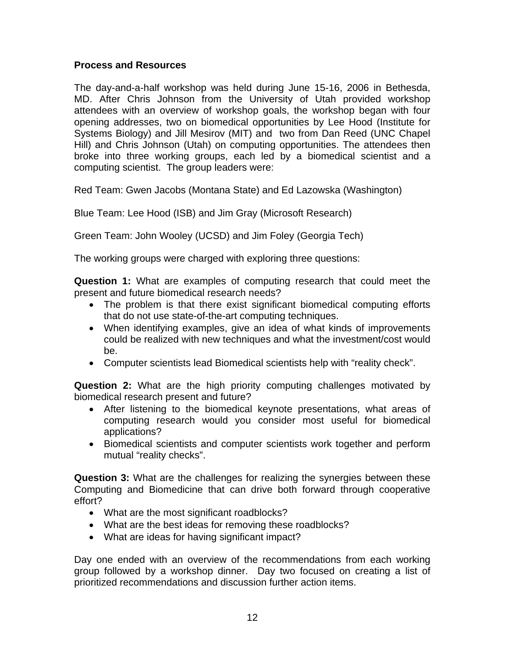# **Process and Resources**

The day-and-a-half workshop was held during June 15-16, 2006 in Bethesda, MD. After Chris Johnson from the University of Utah provided workshop attendees with an overview of workshop goals, the workshop began with four opening addresses, two on biomedical opportunities by Lee Hood (Institute for Systems Biology) and Jill Mesirov (MIT) and two from Dan Reed (UNC Chapel Hill) and Chris Johnson (Utah) on computing opportunities. The attendees then broke into three working groups, each led by a biomedical scientist and a computing scientist. The group leaders were:

Red Team: Gwen Jacobs (Montana State) and Ed Lazowska (Washington)

Blue Team: Lee Hood (ISB) and Jim Gray (Microsoft Research)

Green Team: John Wooley (UCSD) and Jim Foley (Georgia Tech)

The working groups were charged with exploring three questions:

**Question 1:** What are examples of computing research that could meet the present and future biomedical research needs?

- The problem is that there exist significant biomedical computing efforts that do not use state-of-the-art computing techniques.
- When identifying examples, give an idea of what kinds of improvements could be realized with new techniques and what the investment/cost would be.
- Computer scientists lead Biomedical scientists help with "reality check".

**Question 2:** What are the high priority computing challenges motivated by biomedical research present and future?

- • After listening to the biomedical keynote presentations, what areas of computing research would you consider most useful for biomedical applications?
- Biomedical scientists and computer scientists work together and perform mutual "reality checks".

**Question 3:** What are the challenges for realizing the synergies between these Computing and Biomedicine that can drive both forward through cooperative effort?

- What are the most significant roadblocks?
- What are the best ideas for removing these roadblocks?
- What are ideas for having significant impact?

Day one ended with an overview of the recommendations from each working group followed by a workshop dinner. Day two focused on creating a list of prioritized recommendations and discussion further action items.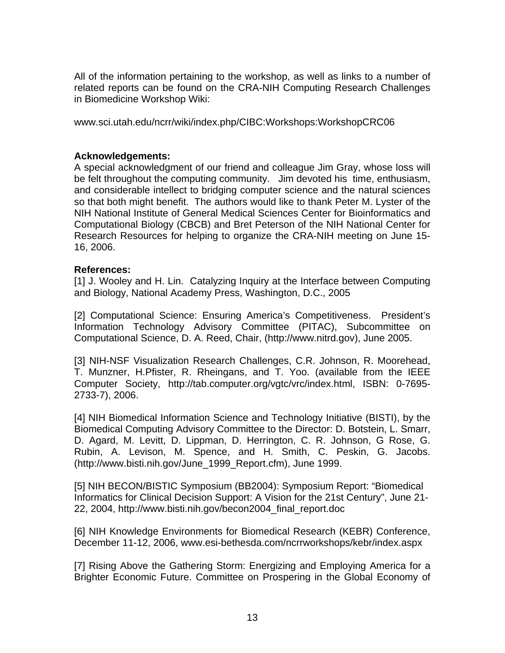All of the information pertaining to the workshop, as well as links to a number of related reports can be found on the CRA-NIH Computing Research Challenges in Biomedicine Workshop Wiki:

www.sci.utah.edu/ncrr/wiki/index.php/CIBC:Workshops:WorkshopCRC06

## **Acknowledgements:**

A special acknowledgment of our friend and colleague Jim Gray, whose loss will be felt throughout the computing community. Jim devoted his time, enthusiasm, and considerable intellect to bridging computer science and the natural sciences so that both might benefit. The authors would like to thank Peter M. Lyster of the NIH National Institute of General Medical Sciences Center for Bioinformatics and Computational Biology (CBCB) and Bret Peterson of the NIH National Center for Research Resources for helping to organize the CRA-NIH meeting on June 15- 16, 2006.

### **References:**

[1] J. Wooley and H. Lin. Catalyzing Inquiry at the Interface between Computing and Biology, National Academy Press, Washington, D.C., 2005

[2] Computational Science: Ensuring America's Competitiveness. President's Information Technology Advisory Committee (PITAC), Subcommittee on Computational Science, D. A. Reed, Chair, (http://www.nitrd.gov), June 2005.

[3] NIH-NSF Visualization Research Challenges, C.R. Johnson, R. Moorehead, T. Munzner, H.Pfister, R. Rheingans, and T. Yoo. (available from the IEEE Computer Society, http://tab.computer.org/vgtc/vrc/index.html, ISBN: 0-7695- 2733-7), 2006.

[4] NIH Biomedical Information Science and Technology Initiative (BISTI), by the Biomedical Computing Advisory Committee to the Director: D. Botstein, L. Smarr, D. Agard, M. Levitt, D. Lippman, D. Herrington, C. R. Johnson, G Rose, G. Rubin, A. Levison, M. Spence, and H. Smith, C. Peskin, G. Jacobs. (http://www.bisti.nih.gov/June\_1999\_Report.cfm), June 1999.

[5] NIH BECON/BISTIC Symposium (BB2004): Symposium Report: "Biomedical Informatics for Clinical Decision Support: A Vision for the 21st Century", June 21- 22, 2004, http://www.bisti.nih.gov/becon2004\_final\_report.doc

[6] NIH Knowledge Environments for Biomedical Research (KEBR) Conference, December 11-12, 2006, www.esi-bethesda.com/ncrrworkshops/kebr/index.aspx

[7] Rising Above the Gathering Storm: Energizing and Employing America for a Brighter Economic Future. Committee on Prospering in the Global Economy of